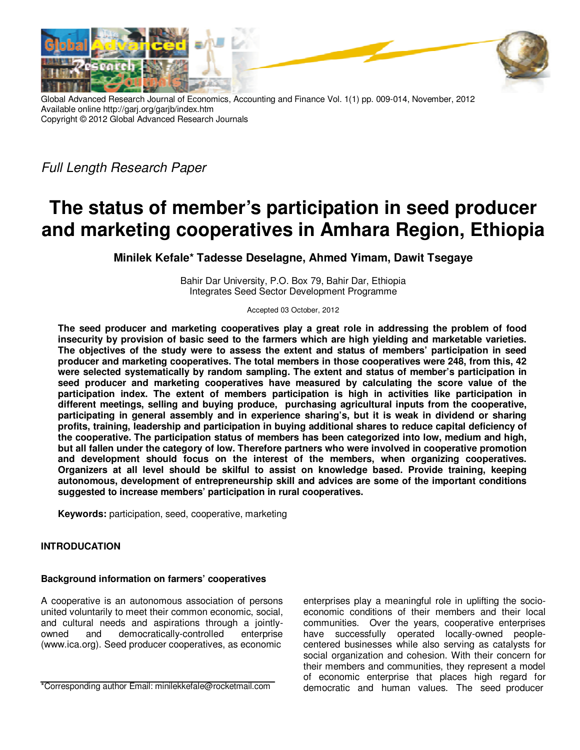

Global Advanced Research Journal of Economics, Accounting and Finance Vol. 1(1) pp. 009-014, November, 2012 Available online http://garj.org/garjb/index.htm Copyright © 2012 Global Advanced Research Journals

Full Length Research Paper

# **The status of member's participation in seed producer and marketing cooperatives in Amhara Region, Ethiopia**

**Minilek Kefale\* Tadesse Deselagne, Ahmed Yimam, Dawit Tsegaye** 

Bahir Dar University, P.O. Box 79, Bahir Dar, Ethiopia Integrates Seed Sector Development Programme

Accepted 03 October, 2012

**The seed producer and marketing cooperatives play a great role in addressing the problem of food insecurity by provision of basic seed to the farmers which are high yielding and marketable varieties. The objectives of the study were to assess the extent and status of members' participation in seed producer and marketing cooperatives. The total members in those cooperatives were 248, from this, 42 were selected systematically by random sampling. The extent and status of member's participation in seed producer and marketing cooperatives have measured by calculating the score value of the participation index. The extent of members participation is high in activities like participation in different meetings, selling and buying produce, purchasing agricultural inputs from the cooperative, participating in general assembly and in experience sharing's, but it is weak in dividend or sharing profits, training, leadership and participation in buying additional shares to reduce capital deficiency of the cooperative. The participation status of members has been categorized into low, medium and high, but all fallen under the category of low. Therefore partners who were involved in cooperative promotion and development should focus on the interest of the members, when organizing cooperatives. Organizers at all level should be skilful to assist on knowledge based. Provide training, keeping autonomous, development of entrepreneurship skill and advices are some of the important conditions suggested to increase members' participation in rural cooperatives.** 

**Keywords:** participation, seed, cooperative, marketing

## **INTRODUCATION**

### **Background information on farmers' cooperatives**

A cooperative is an autonomous association of persons united voluntarily to meet their common economic, social, and cultural needs and aspirations through a jointlyowned and democratically-controlled enterprise (www.ica.org). Seed producer cooperatives, as economic

\*Corresponding author Email: minilekkefale@rocketmail.com

enterprises play a meaningful role in uplifting the socioeconomic conditions of their members and their local communities. Over the years, cooperative enterprises have successfully operated locally-owned peoplecentered businesses while also serving as catalysts for social organization and cohesion. With their concern for their members and communities, they represent a model of economic enterprise that places high regard for democratic and human values. The seed producer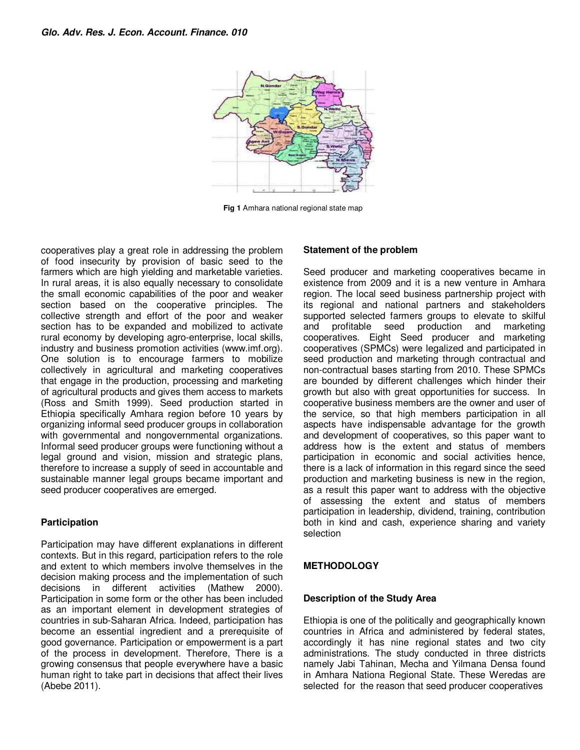

**Fig 1** Amhara national regional state map

cooperatives play a great role in addressing the problem of food insecurity by provision of basic seed to the farmers which are high yielding and marketable varieties. In rural areas, it is also equally necessary to consolidate the small economic capabilities of the poor and weaker section based on the cooperative principles. The collective strength and effort of the poor and weaker section has to be expanded and mobilized to activate rural economy by developing agro-enterprise, local skills, industry and business promotion activities (www.imf.org). One solution is to encourage farmers to mobilize collectively in agricultural and marketing cooperatives that engage in the production, processing and marketing of agricultural products and gives them access to markets (Ross and Smith 1999). Seed production started in Ethiopia specifically Amhara region before 10 years by organizing informal seed producer groups in collaboration with governmental and nongovernmental organizations. Informal seed producer groups were functioning without a legal ground and vision, mission and strategic plans, therefore to increase a supply of seed in accountable and sustainable manner legal groups became important and seed producer cooperatives are emerged.

## **Participation**

Participation may have different explanations in different contexts. But in this regard, participation refers to the role and extent to which members involve themselves in the decision making process and the implementation of such decisions in different activities (Mathew 2000). Participation in some form or the other has been included as an important element in development strategies of countries in sub-Saharan Africa. Indeed, participation has become an essential ingredient and a prerequisite of good governance. Participation or empowerment is a part of the process in development. Therefore, There is a growing consensus that people everywhere have a basic human right to take part in decisions that affect their lives (Abebe 2011).

## **Statement of the problem**

Seed producer and marketing cooperatives became in existence from 2009 and it is a new venture in Amhara region. The local seed business partnership project with its regional and national partners and stakeholders supported selected farmers groups to elevate to skilful and profitable seed production and marketing cooperatives. Eight Seed producer and marketing cooperatives (SPMCs) were legalized and participated in seed production and marketing through contractual and non-contractual bases starting from 2010. These SPMCs are bounded by different challenges which hinder their growth but also with great opportunities for success. In cooperative business members are the owner and user of the service, so that high members participation in all aspects have indispensable advantage for the growth and development of cooperatives, so this paper want to address how is the extent and status of members participation in economic and social activities hence, there is a lack of information in this regard since the seed production and marketing business is new in the region, as a result this paper want to address with the objective of assessing the extent and status of members participation in leadership, dividend, training, contribution both in kind and cash, experience sharing and variety selection

## **METHODOLOGY**

### **Description of the Study Area**

Ethiopia is one of the politically and geographically known countries in Africa and administered by federal states, accordingly it has nine regional states and two city administrations. The study conducted in three districts namely Jabi Tahinan, Mecha and Yilmana Densa found in Amhara Nationa Regional State. These Weredas are selected for the reason that seed producer cooperatives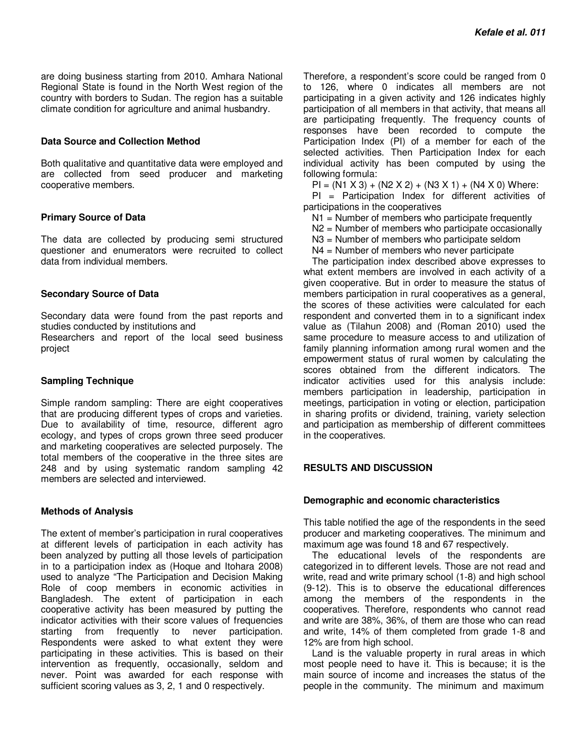are doing business starting from 2010. Amhara National Regional State is found in the North West region of the country with borders to Sudan. The region has a suitable climate condition for agriculture and animal husbandry.

#### **Data Source and Collection Method**

Both qualitative and quantitative data were employed and are collected from seed producer and marketing cooperative members.

#### **Primary Source of Data**

The data are collected by producing semi structured questioner and enumerators were recruited to collect data from individual members.

#### **Secondary Source of Data**

Secondary data were found from the past reports and studies conducted by institutions and

Researchers and report of the local seed business project

### **Sampling Technique**

Simple random sampling: There are eight cooperatives that are producing different types of crops and varieties. Due to availability of time, resource, different agro ecology, and types of crops grown three seed producer and marketing cooperatives are selected purposely. The total members of the cooperative in the three sites are 248 and by using systematic random sampling 42 members are selected and interviewed.

### **Methods of Analysis**

The extent of member's participation in rural cooperatives at different levels of participation in each activity has been analyzed by putting all those levels of participation in to a participation index as (Hoque and Itohara 2008) used to analyze "The Participation and Decision Making Role of coop members in economic activities in Bangladesh. The extent of participation in each cooperative activity has been measured by putting the indicator activities with their score values of frequencies starting from frequently to never participation. Respondents were asked to what extent they were participating in these activities. This is based on their intervention as frequently, occasionally, seldom and never. Point was awarded for each response with sufficient scoring values as 3, 2, 1 and 0 respectively.

Therefore, a respondent's score could be ranged from 0 to 126, where 0 indicates all members are not participating in a given activity and 126 indicates highly participation of all members in that activity, that means all are participating frequently. The frequency counts of responses have been recorded to compute the Participation Index (PI) of a member for each of the selected activities. Then Participation Index for each individual activity has been computed by using the following formula:

 $PI = (N1 X 3) + (N2 X 2) + (N3 X 1) + (N4 X 0)$  Where:

 $PI = Participation$  Index for different activities of participations in the cooperatives

N1 = Number of members who participate frequently

N2 = Number of members who participate occasionally

N3 = Number of members who participate seldom

N4 = Number of members who never participate

The participation index described above expresses to what extent members are involved in each activity of a given cooperative. But in order to measure the status of members participation in rural cooperatives as a general, the scores of these activities were calculated for each respondent and converted them in to a significant index value as (Tilahun 2008) and (Roman 2010) used the same procedure to measure access to and utilization of family planning information among rural women and the empowerment status of rural women by calculating the scores obtained from the different indicators. The indicator activities used for this analysis include: members participation in leadership, participation in meetings, participation in voting or election, participation in sharing profits or dividend, training, variety selection and participation as membership of different committees in the cooperatives.

## **RESULTS AND DISCUSSION**

#### **Demographic and economic characteristics**

This table notified the age of the respondents in the seed producer and marketing cooperatives. The minimum and maximum age was found 18 and 67 respectively.

The educational levels of the respondents are categorized in to different levels. Those are not read and write, read and write primary school (1-8) and high school (9-12). This is to observe the educational differences among the members of the respondents in the cooperatives. Therefore, respondents who cannot read and write are 38%, 36%, of them are those who can read and write, 14% of them completed from grade 1-8 and 12% are from high school.

Land is the valuable property in rural areas in which most people need to have it. This is because; it is the main source of income and increases the status of the people in the community. The minimum and maximum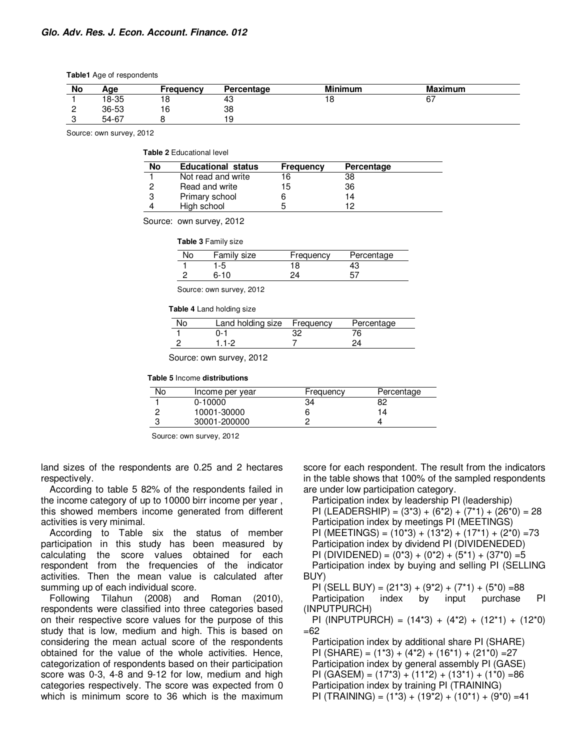| <b>Table1</b> Age of respondents |  |
|----------------------------------|--|
|----------------------------------|--|

| No | Age   | Frequency | Percentage | <b>Minimum</b> | <b>Maximum</b> |
|----|-------|-----------|------------|----------------|----------------|
|    | 18-35 | 18        | 43         |                | , ס            |
|    | 36-53 | 16        | 38         |                |                |
|    | 54-67 |           | ۱۹         |                |                |

Source: own survey, 2012

**Table 2** Educational level

| No | <b>Educational status</b> | <b>Frequency</b> | Percentage |  |
|----|---------------------------|------------------|------------|--|
|    | Not read and write        | 16               | 38         |  |
| 0  | Read and write            | 15               | 36         |  |
| 3  | Primary school            |                  | 14         |  |
| 4  | High school               |                  | 10         |  |

Source: own survey, 2012

**Table 3** Family size

| Family size | Frequency | Percentage |
|-------------|-----------|------------|
| l -5        | 18        | 43         |
| 6-10        | 21        |            |

Source: own survey, 2012

**Table 4** Land holding size

| No | Land holding size Frequency |    | Percentage |
|----|-----------------------------|----|------------|
|    | ი-1                         | 32 |            |
|    | 11.2                        |    |            |

Source: own survey, 2012

**Table 5** Income **distributions** 

| No | Income per year | Frequency | Percentage |
|----|-----------------|-----------|------------|
|    | $0-10000$       | 34        | 82         |
|    | 10001-30000     |           | 14         |
|    | 30001-200000    |           |            |

Source: own survey, 2012

land sizes of the respondents are 0.25 and 2 hectares respectively.

According to table 5 82% of the respondents failed in the income category of up to 10000 birr income per year , this showed members income generated from different activities is very minimal.

According to Table six the status of member participation in this study has been measured by calculating the score values obtained for each respondent from the frequencies of the indicator activities. Then the mean value is calculated after summing up of each individual score.

Following Tilahun (2008) and Roman (2010), respondents were classified into three categories based on their respective score values for the purpose of this study that is low, medium and high. This is based on considering the mean actual score of the respondents obtained for the value of the whole activities. Hence, categorization of respondents based on their participation score was 0-3, 4-8 and 9-12 for low, medium and high categories respectively. The score was expected from 0 which is minimum score to 36 which is the maximum

score for each respondent. The result from the indicators in the table shows that 100% of the sampled respondents are under low participation category.

Participation index by leadership PI (leadership) PI (LEADERSHIP) =  $(3*3) + (6*2) + (7*1) + (26*0) = 28$ Participation index by meetings PI (MEETINGS) PI (MEETINGS) =  $(10*3) + (13*2) + (17*1) + (2*0) = 73$ Participation index by dividend PI (DIVIDENEDED)

PI (DIVIDENED) =  $(0^*3) + (0^*2) + (5^*1) + (37^*0) = 5$ 

Participation index by buying and selling PI (SELLING BUY)

PI (SELL BUY) =  $(21*3) + (9*2) + (7*1) + (5*0) = 88$ Participation index by input purchase PI (INPUTPURCH)

PI (INPUTPURCH) =  $(14*3) + (4*2) + (12*1) + (12*0)$ =62

Participation index by additional share PI (SHARE) PI (SHARE) =  $(1*3) + (4*2) + (16*1) + (21*0) = 27$ Participation index by general assembly PI (GASE) PI (GASEM) =  $(17*3) + (11*2) + (13*1) + (1*0) = 86$ Participation index by training PI (TRAINING) PI (TRAINING) =  $(1*3) + (19*2) + (10*1) + (9*0) = 41$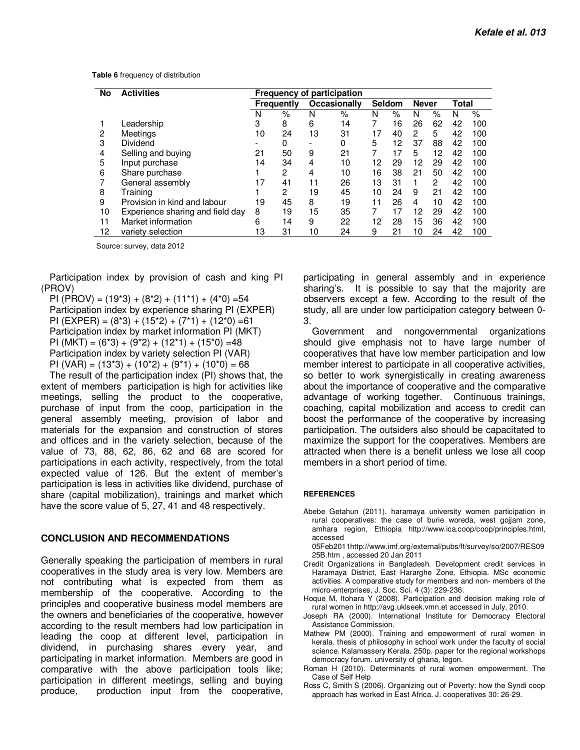|  |  | Table 6 frequency of distribution |
|--|--|-----------------------------------|
|--|--|-----------------------------------|

| No | <b>Activities</b>                | <b>Frequency of participation</b> |                |                     |    |        |    |              |      |       |     |
|----|----------------------------------|-----------------------------------|----------------|---------------------|----|--------|----|--------------|------|-------|-----|
|    |                                  | <b>Frequently</b>                 |                | <b>Occasionally</b> |    | Seldom |    | <b>Never</b> |      | Total |     |
|    |                                  | N                                 | $\%$           | N                   | %  | Ν      | %  | N            | $\%$ | N     | %   |
|    | Leadership                       | 3                                 | 8              | 6                   | 14 |        | 16 | 26           | 62   | 42    | 100 |
| 2  | Meetings                         | 10                                | 24             | 13                  | 31 | 17     | 40 | 2            | 5    | 42    | 100 |
| 3  | Dividend                         | $\overline{\phantom{a}}$          | 0              | ۰                   | 0  | 5      | 12 | 37           | 88   | 42    | 100 |
| 4  | Selling and buying               | 21                                | 50             | 9                   | 21 | 7      | 17 | 5            | 12   | 42    | 100 |
| 5  | Input purchase                   | 14                                | 34             | 4                   | 10 | 12     | 29 | 12           | 29   | 42    | 100 |
| 6  | Share purchase                   |                                   | $\overline{2}$ | 4                   | 10 | 16     | 38 | 21           | 50   | 42    | 100 |
|    | General assembly                 | 17                                | 41             | 11                  | 26 | 13     | 31 | 1            | 2    | 42    | 100 |
| 8  | Training                         |                                   | $\overline{c}$ | 19                  | 45 | 10     | 24 | 9            | 21   | 42    | 100 |
| 9  | Provision in kind and labour     | 19                                | 45             | 8                   | 19 | 11     | 26 | 4            | 10   | 42    | 100 |
| 10 | Experience sharing and field day | 8                                 | 19             | 15                  | 35 |        | 17 | 12           | 29   | 42    | 100 |
| 11 | Market information               | 6                                 | 14             | 9                   | 22 | 12     | 28 | 15           | 36   | 42    | 100 |
| 12 | variety selection                | 13                                | 31             | 10                  | 24 | 9      | 21 | 10           | 24   | 42    | 100 |

Source: survey, data 2012

Participation index by provision of cash and king PI (PROV)

PI (PROV) =  $(19*3) + (8*2) + (11*1) + (4*0) = 54$ Participation index by experience sharing PI (EXPER) PI (EXPER) =  $(8*3) + (15*2) + (7*1) + (12*0) = 61$ Participation index by market information PI (MKT) PI (MKT) =  $(6*3) + (9*2) + (12*1) + (15*0) = 48$ Participation index by variety selection PI (VAR) PI (VAR) =  $(13*3) + (10*2) + (9*1) + (10*0) = 68$ 

The result of the participation index (PI) shows that, the extent of members participation is high for activities like meetings, selling the product to the cooperative, purchase of input from the coop, participation in the general assembly meeting, provision of labor and materials for the expansion and construction of stores and offices and in the variety selection, because of the value of 73, 88, 62, 86, 62 and 68 are scored for participations in each activity, respectively, from the total expected value of 126. But the extent of member's participation is less in activities like dividend, purchase of share (capital mobilization), trainings and market which have the score value of 5, 27, 41 and 48 respectively.

#### **CONCLUSION AND RECOMMENDATIONS**

Generally speaking the participation of members in rural cooperatives in the study area is very low. Members are not contributing what is expected from them as membership of the cooperative. According to the principles and cooperative business model members are the owners and beneficiaries of the cooperative, however according to the result members had low participation in leading the coop at different level, participation in dividend, in purchasing shares every year, and participating in market information. Members are good in comparative with the above participation tools like; participation in different meetings, selling and buying produce, production input from the cooperative, participating in general assembly and in experience sharing's. It is possible to say that the majority are observers except a few. According to the result of the study, all are under low participation category between 0- 3.

Government and nongovernmental organizations should give emphasis not to have large number of cooperatives that have low member participation and low member interest to participate in all cooperative activities, so better to work synergistically in creating awareness about the importance of cooperative and the comparative advantage of working together. Continuous trainings, coaching, capital mobilization and access to credit can boost the performance of the cooperative by increasing participation. The outsiders also should be capacitated to maximize the support for the cooperatives. Members are attracted when there is a benefit unless we lose all coop members in a short period of time.

#### **REFERENCES**

- Abebe Getahun (2011). haramaya university women participation in rural cooperatives: the case of burie woreda, west gojjam zone, amhara region, Ethiopia http://www.ica.coop/coop/principles.html, accessed
	- 05Feb2011http://www.imf.org/external/pubs/ft/survey/so/2007/RES09 25B.htm , accessed 20 Jan 2011
- Credit Organizations in Bangladesh. Development credit services in Haramaya District, East Hararghe Zone, Ethiopia. MSc economic activities. A comparative study for members and non- members of the micro-enterprises, J. Soc. Sci. 4 (3): 229-236.
- Hoque M, Itohara Y (2008). Participation and decision making role of rural women in http://avg.uklseek.vmn.et accessed in July, 2010.
- Joseph RA (2000). International Institute for Democracy Electoral Assistance Commission.
- Mathew PM (2000). Training and empowerment of rural women in kerala. thesis of philosophy in school work under the faculty of social science. Kalamassery Kerala. 250p. paper for the regional workshops democracy forum. university of ghana, legon.
- Roman H (2010). Determinants of rural women empowerment. The Case of Self Help
- Ross C, Smith S (2006). Organizing out of Poverty: how the Syndi coop approach has worked in East Africa. J. cooperatives 30: 26-29.